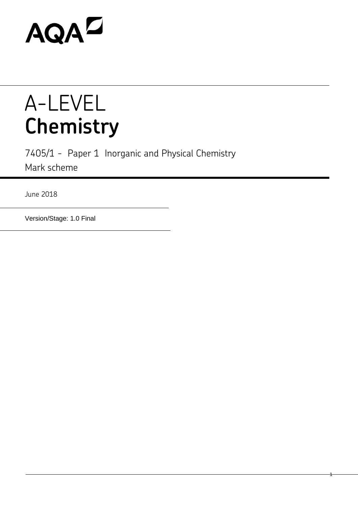# **AQAZ**

## A-LEVEL **Chemistry**

7405/1 - Paper 1 Inorganic and Physical Chemistry Mark scheme

1

June 2018

Version/Stage: 1.0 Final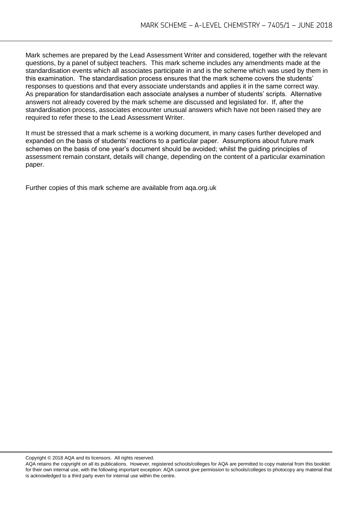Mark schemes are prepared by the Lead Assessment Writer and considered, together with the relevant questions, by a panel of subject teachers. This mark scheme includes any amendments made at the standardisation events which all associates participate in and is the scheme which was used by them in this examination. The standardisation process ensures that the mark scheme covers the students' responses to questions and that every associate understands and applies it in the same correct way. As preparation for standardisation each associate analyses a number of students' scripts. Alternative answers not already covered by the mark scheme are discussed and legislated for. If, after the standardisation process, associates encounter unusual answers which have not been raised they are required to refer these to the Lead Assessment Writer.

It must be stressed that a mark scheme is a working document, in many cases further developed and expanded on the basis of students' reactions to a particular paper. Assumptions about future mark schemes on the basis of one year's document should be avoided; whilst the guiding principles of assessment remain constant, details will change, depending on the content of a particular examination paper.

Further copies of this mark scheme are available from aqa.org.uk

Copyright © 2018 AQA and its licensors. All rights reserved.

AQA retains the copyright on all its publications. However, registered schools/colleges for AQA are permitted to copy material from this booklet for their own internal use, with the following important exception: AQA cannot give permission to schools/colleges to photocopy any material that is acknowledged to a third party even for internal use within the centre.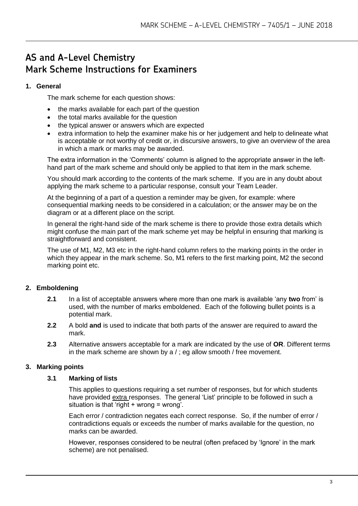### **AS and A-Level Chemistry Mark Scheme Instructions for Examiners**

#### **1. General**

The mark scheme for each question shows:

- the marks available for each part of the question
- the total marks available for the question
- the typical answer or answers which are expected
- extra information to help the examiner make his or her judgement and help to delineate what is acceptable or not worthy of credit or, in discursive answers, to give an overview of the area in which a mark or marks may be awarded.

The extra information in the 'Comments' column is aligned to the appropriate answer in the lefthand part of the mark scheme and should only be applied to that item in the mark scheme.

You should mark according to the contents of the mark scheme. If you are in any doubt about applying the mark scheme to a particular response, consult your Team Leader.

At the beginning of a part of a question a reminder may be given, for example: where consequential marking needs to be considered in a calculation; or the answer may be on the diagram or at a different place on the script.

In general the right-hand side of the mark scheme is there to provide those extra details which might confuse the main part of the mark scheme yet may be helpful in ensuring that marking is straightforward and consistent.

The use of M1, M2, M3 etc in the right-hand column refers to the marking points in the order in which they appear in the mark scheme. So, M1 refers to the first marking point, M2 the second marking point etc.

#### **2. Emboldening**

- **2.1** In a list of acceptable answers where more than one mark is available 'any **two** from' is used, with the number of marks emboldened. Each of the following bullet points is a potential mark.
- **2.2** A bold **and** is used to indicate that both parts of the answer are required to award the mark.
- **2.3** Alternative answers acceptable for a mark are indicated by the use of **OR**. Different terms in the mark scheme are shown by a / ; eg allow smooth / free movement.

#### **3. Marking points**

#### **3.1 Marking of lists**

This applies to questions requiring a set number of responses, but for which students have provided extra responses. The general 'List' principle to be followed in such a situation is that 'right + wrong = wrong'.

Each error / contradiction negates each correct response. So, if the number of error / contradictions equals or exceeds the number of marks available for the question, no marks can be awarded.

However, responses considered to be neutral (often prefaced by 'Ignore' in the mark scheme) are not penalised.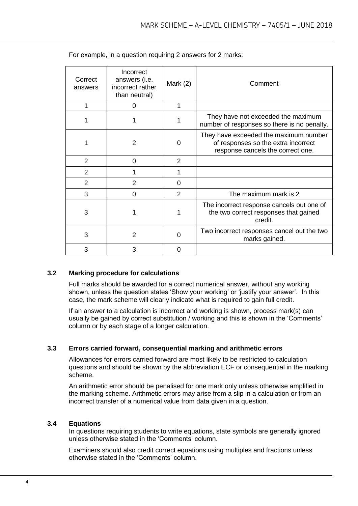| Correct<br>answers | Incorrect<br>answers (i.e.<br>incorrect rather<br>than neutral) | Mark $(2)$     | Comment                                                                                                           |
|--------------------|-----------------------------------------------------------------|----------------|-------------------------------------------------------------------------------------------------------------------|
|                    | 0                                                               | 1              |                                                                                                                   |
|                    |                                                                 |                | They have not exceeded the maximum<br>number of responses so there is no penalty.                                 |
|                    | 2                                                               | 0              | They have exceeded the maximum number<br>of responses so the extra incorrect<br>response cancels the correct one. |
| 2                  | 0                                                               | 2              |                                                                                                                   |
| $\overline{2}$     |                                                                 |                |                                                                                                                   |
| $\overline{2}$     | 2                                                               | $\Omega$       |                                                                                                                   |
| 3                  | 0                                                               | $\overline{2}$ | The maximum mark is 2                                                                                             |
| 3                  |                                                                 |                | The incorrect response cancels out one of<br>the two correct responses that gained<br>credit.                     |
| 3                  | $\overline{2}$                                                  | $\Omega$       | Two incorrect responses cancel out the two<br>marks gained.                                                       |
| 3                  | 3                                                               | 0              |                                                                                                                   |

For example, in a question requiring 2 answers for 2 marks:

#### **3.2 Marking procedure for calculations**

Full marks should be awarded for a correct numerical answer, without any working shown, unless the question states 'Show your working' or 'justify your answer'. In this case, the mark scheme will clearly indicate what is required to gain full credit.

If an answer to a calculation is incorrect and working is shown, process mark(s) can usually be gained by correct substitution / working and this is shown in the 'Comments' column or by each stage of a longer calculation.

#### **3.3 Errors carried forward, consequential marking and arithmetic errors**

Allowances for errors carried forward are most likely to be restricted to calculation questions and should be shown by the abbreviation ECF or consequential in the marking scheme.

An arithmetic error should be penalised for one mark only unless otherwise amplified in the marking scheme. Arithmetic errors may arise from a slip in a calculation or from an incorrect transfer of a numerical value from data given in a question.

#### **3.4 Equations**

In questions requiring students to write equations, state symbols are generally ignored unless otherwise stated in the 'Comments' column.

Examiners should also credit correct equations using multiples and fractions unless otherwise stated in the 'Comments' column.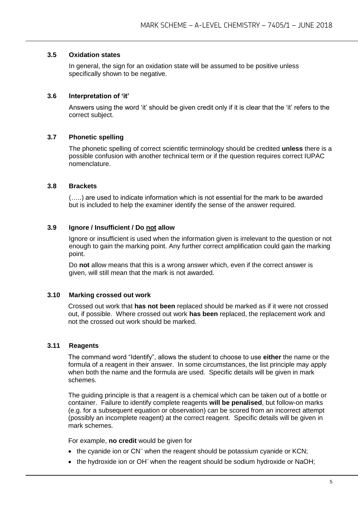#### **3.5 Oxidation states**

In general, the sign for an oxidation state will be assumed to be positive unless specifically shown to be negative.

#### **3.6 Interpretation of 'it'**

Answers using the word 'it' should be given credit only if it is clear that the 'it' refers to the correct subject.

#### **3.7 Phonetic spelling**

The phonetic spelling of correct scientific terminology should be credited **unless** there is a possible confusion with another technical term or if the question requires correct IUPAC nomenclature.

#### **3.8 Brackets**

(…..) are used to indicate information which is not essential for the mark to be awarded but is included to help the examiner identify the sense of the answer required.

#### **3.9 Ignore / Insufficient / Do not allow**

Ignore or insufficient is used when the information given is irrelevant to the question or not enough to gain the marking point. Any further correct amplification could gain the marking point.

Do **not** allow means that this is a wrong answer which, even if the correct answer is given, will still mean that the mark is not awarded.

#### **3.10 Marking crossed out work**

Crossed out work that **has not been** replaced should be marked as if it were not crossed out, if possible. Where crossed out work **has been** replaced, the replacement work and not the crossed out work should be marked.

#### **3.11 Reagents**

The command word "Identify", allows the student to choose to use **either** the name or the formula of a reagent in their answer. In some circumstances, the list principle may apply when both the name and the formula are used. Specific details will be given in mark schemes.

The guiding principle is that a reagent is a chemical which can be taken out of a bottle or container. Failure to identify complete reagents **will be penalised**, but follow-on marks (e.g. for a subsequent equation or observation) can be scored from an incorrect attempt (possibly an incomplete reagent) at the correct reagent. Specific details will be given in mark schemes.

For example, **no credit** would be given for

- the cyanide ion or CN<sup>-</sup> when the reagent should be potassium cyanide or KCN;
- the hydroxide ion or OH<sup>-</sup> when the reagent should be sodium hydroxide or NaOH;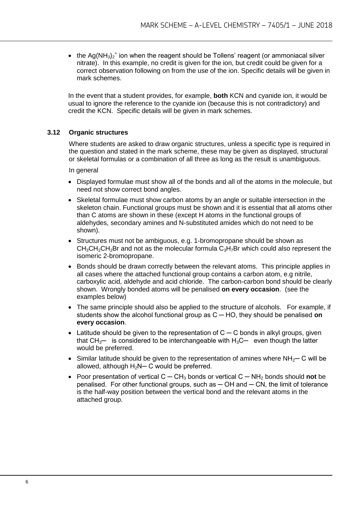• the Ag(NH<sub>3</sub>)<sub>2</sub><sup>+</sup> ion when the reagent should be Tollens' reagent (or ammoniacal silver nitrate). In this example, no credit is given for the ion, but credit could be given for a correct observation following on from the use of the ion. Specific details will be given in mark schemes.

In the event that a student provides, for example, **both** KCN and cyanide ion, it would be usual to ignore the reference to the cyanide ion (because this is not contradictory) and credit the KCN. Specific details will be given in mark schemes.

#### **3.12 Organic structures**

Where students are asked to draw organic structures, unless a specific type is required in the question and stated in the mark scheme, these may be given as displayed, structural or skeletal formulas or a combination of all three as long as the result is unambiguous.

In general

- Displayed formulae must show all of the bonds and all of the atoms in the molecule, but need not show correct bond angles.
- Skeletal formulae must show carbon atoms by an angle or suitable intersection in the skeleton chain. Functional groups must be shown and it is essential that all atoms other than C atoms are shown in these (except H atoms in the functional groups of aldehydes, secondary amines and N-substituted amides which do not need to be shown).
- Structures must not be ambiguous, e.g. 1-bromopropane should be shown as  $CH<sub>3</sub>CH<sub>2</sub>CH<sub>2</sub>Br$  and not as the molecular formula  $C<sub>3</sub>H<sub>7</sub>Br$  which could also represent the isomeric 2-bromopropane.
- Bonds should be drawn correctly between the relevant atoms. This principle applies in all cases where the attached functional group contains a carbon atom, e.g nitrile, carboxylic acid, aldehyde and acid chloride. The carbon-carbon bond should be clearly shown. Wrongly bonded atoms will be penalised **on every occasion**. (see the examples below)
- The same principle should also be applied to the structure of alcohols. For example, if students show the alcohol functional group as C ─ HO, they should be penalised **on every occasion**.
- Latitude should be given to the representation of  $C C$  bonds in alkyl groups, given that  $CH_{3}$ — is considered to be interchangeable with  $H_3C$ — even though the latter would be preferred.
- Similar latitude should be given to the representation of amines where NH<sub>2</sub>— C will be allowed, although  $H_2N-C$  would be preferred.
- Poor presentation of vertical C ─ CH<sup>3</sup> bonds or vertical C ─ NH<sup>2</sup> bonds should **not** be penalised. For other functional groups, such as  $-$  OH and  $-$  CN, the limit of tolerance is the half-way position between the vertical bond and the relevant atoms in the attached group.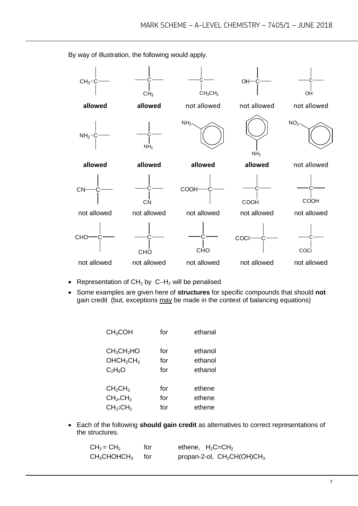$CH<sub>3</sub>$  $CH<sub>3</sub>$ C  $CH<sub>3</sub>CH<sub>2</sub>$  $OH<sup>2</sup>$ OH **allowed allowed** not allowed not allowed not allowed  $NH<sub>2</sub>$  $NH<sub>2</sub>$ NH<sub>2</sub>  $NH<sub>2</sub>$  $NO<sub>2</sub>$ **allowed allowed allowed allowed** not allowed  $\overline{\text{CN--c}}$  —  $\overline{\text{C}}$ **CN COOH COOH** C COOH not allowed not allowed not allowed not allowed not allowed **CHO CHO** C CHO C<sub>OC</sub> coci not allowed not allowed not allowed not allowed not allowed

By way of illustration, the following would apply.

- Representation of  $CH<sub>2</sub>$  by  $C-H<sub>2</sub>$  will be penalised
- Some examples are given here of **structures** for specific compounds that should **not** gain credit (but, exceptions may be made in the context of balancing equations)

| CH <sub>3</sub> COH                | for | ethanal |
|------------------------------------|-----|---------|
| CH <sub>3</sub> CH <sub>2</sub> HO | for | ethanol |
| OHCH <sub>2</sub> CH <sub>3</sub>  | for | ethanol |
| $C_2H_6O$                          | for | ethanol |
| CH <sub>2</sub> CH <sub>2</sub>    | for | ethene  |
| CH <sub>2</sub> .CH <sub>2</sub>   | for | ethene  |
| CH <sub>2</sub> :CH <sub>2</sub>   | for | ethene  |

 Each of the following **should gain credit** as alternatives to correct representations of the structures.

| $CH2 = CH2$                      | for   | ethene, $H_2C=CH_2$           |
|----------------------------------|-------|-------------------------------|
| $\mathsf{CH}_3\mathsf{CHOHCH}_3$ | tor – | propan-2-ol, $CH_3CH(OH)CH_3$ |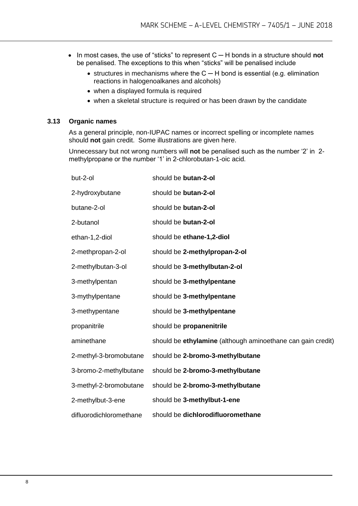- In most cases, the use of "sticks" to represent C ─ H bonds in a structure should **not** be penalised. The exceptions to this when "sticks" will be penalised include
	- structures in mechanisms where the C H bond is essential (e.g. elimination reactions in halogenoalkanes and alcohols)
	- when a displayed formula is required
	- when a skeletal structure is required or has been drawn by the candidate

#### **3.13 Organic names**

As a general principle, non-IUPAC names or incorrect spelling or incomplete names should **not** gain credit. Some illustrations are given here.

Unnecessary but not wrong numbers will **not** be penalised such as the number '2' in 2 methylpropane or the number '1' in 2-chlorobutan-1-oic acid.

| but-2-ol                | should be butan-2-ol                                        |
|-------------------------|-------------------------------------------------------------|
| 2-hydroxybutane         | should be butan-2-ol                                        |
| butane-2-ol             | should be butan-2-ol                                        |
| 2-butanol               | should be butan-2-ol                                        |
| ethan-1,2-diol          | should be ethane-1,2-diol                                   |
| 2-methpropan-2-ol       | should be 2-methylpropan-2-ol                               |
| 2-methylbutan-3-ol      | should be 3-methylbutan-2-ol                                |
| 3-methylpentan          | should be 3-methylpentane                                   |
| 3-mythylpentane         | should be 3-methylpentane                                   |
| 3-methypentane          | should be 3-methylpentane                                   |
| propanitrile            | should be propanenitrile                                    |
| aminethane              | should be ethylamine (although aminoethane can gain credit) |
| 2-methyl-3-bromobutane  | should be 2-bromo-3-methylbutane                            |
| 3-bromo-2-methylbutane  | should be 2-bromo-3-methylbutane                            |
| 3-methyl-2-bromobutane  | should be 2-bromo-3-methylbutane                            |
| 2-methylbut-3-ene       | should be 3-methylbut-1-ene                                 |
| difluorodichloromethane | should be dichlorodifluoromethane                           |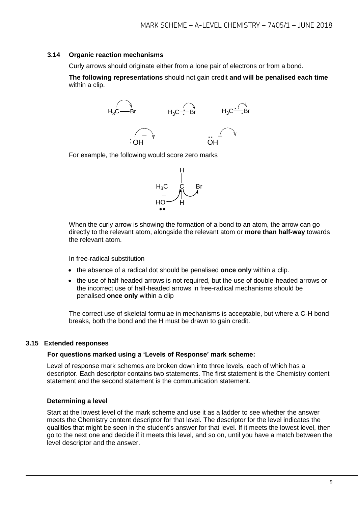#### **3.14 Organic reaction mechanisms**

Curly arrows should originate either from a lone pair of electrons or from a bond.

**The following representations** should not gain credit **and will be penalised each time**  within a clip.



For example, the following would score zero marks



When the curly arrow is showing the formation of a bond to an atom, the arrow can go directly to the relevant atom, alongside the relevant atom or **more than half-way** towards the relevant atom.

In free-radical substitution

- the absence of a radical dot should be penalised **once only** within a clip.
- the use of half-headed arrows is not required, but the use of double-headed arrows or the incorrect use of half-headed arrows in free-radical mechanisms should be penalised **once only** within a clip

The correct use of skeletal formulae in mechanisms is acceptable, but where a C-H bond breaks, both the bond and the H must be drawn to gain credit.

#### **3.15 Extended responses**

#### **For questions marked using a 'Levels of Response' mark scheme:**

Level of response mark schemes are broken down into three levels, each of which has a descriptor. Each descriptor contains two statements. The first statement is the Chemistry content statement and the second statement is the communication statement.

#### **Determining a level**

Start at the lowest level of the mark scheme and use it as a ladder to see whether the answer meets the Chemistry content descriptor for that level. The descriptor for the level indicates the qualities that might be seen in the student's answer for that level. If it meets the lowest level, then go to the next one and decide if it meets this level, and so on, until you have a match between the level descriptor and the answer.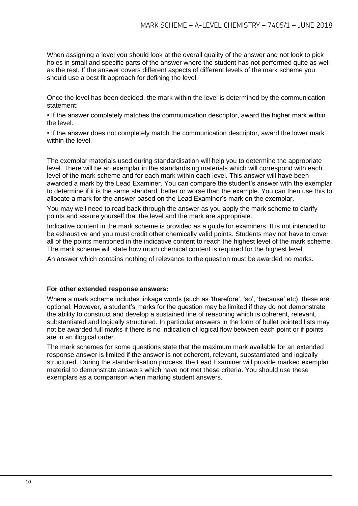When assigning a level you should look at the overall quality of the answer and not look to pick holes in small and specific parts of the answer where the student has not performed quite as well as the rest. If the answer covers different aspects of different levels of the mark scheme you should use a best fit approach for defining the level.

Once the level has been decided, the mark within the level is determined by the communication statement:

• If the answer completely matches the communication descriptor, award the higher mark within the level.

• If the answer does not completely match the communication descriptor, award the lower mark within the level.

The exemplar materials used during standardisation will help you to determine the appropriate level. There will be an exemplar in the standardising materials which will correspond with each level of the mark scheme and for each mark within each level. This answer will have been awarded a mark by the Lead Examiner. You can compare the student's answer with the exemplar to determine if it is the same standard, better or worse than the example. You can then use this to allocate a mark for the answer based on the Lead Examiner's mark on the exemplar.

You may well need to read back through the answer as you apply the mark scheme to clarify points and assure yourself that the level and the mark are appropriate.

Indicative content in the mark scheme is provided as a guide for examiners. It is not intended to be exhaustive and you must credit other chemically valid points. Students may not have to cover all of the points mentioned in the indicative content to reach the highest level of the mark scheme. The mark scheme will state how much chemical content is required for the highest level.

An answer which contains nothing of relevance to the question must be awarded no marks.

#### **For other extended response answers:**

Where a mark scheme includes linkage words (such as 'therefore', 'so', 'because' etc), these are optional. However, a student's marks for the question may be limited if they do not demonstrate the ability to construct and develop a sustained line of reasoning which is coherent, relevant, substantiated and logically structured. In particular answers in the form of bullet pointed lists may not be awarded full marks if there is no indication of logical flow between each point or if points are in an illogical order.

The mark schemes for some questions state that the maximum mark available for an extended response answer is limited if the answer is not coherent, relevant, substantiated and logically structured. During the standardisation process, the Lead Examiner will provide marked exemplar material to demonstrate answers which have not met these criteria. You should use these exemplars as a comparison when marking student answers.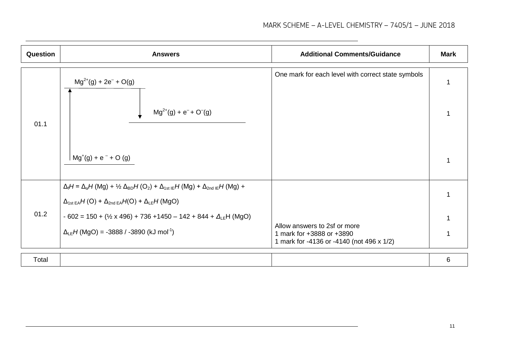| Question | <b>Answers</b>                                                                                                                                                                                    | <b>Additional Comments/Guidance</b>                                                                    | <b>Mark</b> |
|----------|---------------------------------------------------------------------------------------------------------------------------------------------------------------------------------------------------|--------------------------------------------------------------------------------------------------------|-------------|
|          | $Mg^{2+}(g) + 2e^- + O(g)$                                                                                                                                                                        | One mark for each level with correct state symbols                                                     |             |
| 01.1     | $Mg^{2+}(g) + e^{-} + O^{-}(g)$                                                                                                                                                                   |                                                                                                        |             |
|          | $mg'(g) + e^{-} + O(g)$                                                                                                                                                                           |                                                                                                        |             |
|          | $\Delta_i H = \Delta_a H (Mg) + \frac{1}{2} \Delta_{BD} H (O_2) + \Delta_{1st}{}_{IE} H (Mg) + \Delta_{2nd}{}_{IE} H (Mg) +$<br>$\Delta_{1st\,EA}H(O) + \Delta_{2nd\,EA}H(O) + \Delta_{LE}H(MgO)$ |                                                                                                        |             |
| 01.2     | $-602 = 150 + (1/2 \times 496) + 736 + 1450 - 142 + 844 + \Delta_{LE}H \text{ (MgO)}$<br>$\Delta_{LE}H$ (MgO) = -3888 / -3890 (kJ mol <sup>-1</sup> )                                             | Allow answers to 2sf or more<br>1 mark for +3888 or +3890<br>1 mark for -4136 or -4140 (not 496 x 1/2) |             |
| Total    |                                                                                                                                                                                                   |                                                                                                        | 6           |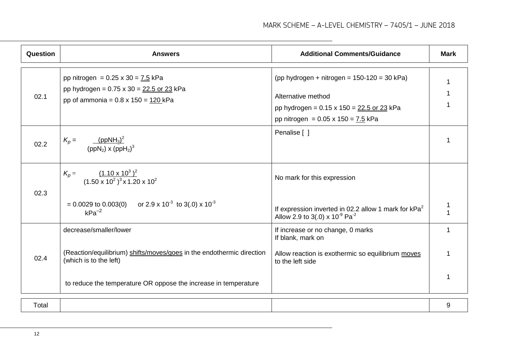| Question | <b>Answers</b>                                                                                        | <b>Additional Comments/Guidance</b>                                                                        | <b>Mark</b> |
|----------|-------------------------------------------------------------------------------------------------------|------------------------------------------------------------------------------------------------------------|-------------|
|          | pp nitrogen = $0.25 \times 30 = 7.5 \text{ kPa}$                                                      | (pp hydrogen + nitrogen = $150-120 = 30$ kPa)                                                              |             |
| 02.1     | pp hydrogen = $0.75 \times 30 = 22.5$ or 23 kPa<br>pp of ammonia = $0.8 \times 150 = 120 \text{ kPa}$ | Alternative method                                                                                         |             |
|          |                                                                                                       | pp hydrogen = $0.15 \times 150 = 22.5$ or 23 kPa                                                           |             |
|          |                                                                                                       | pp nitrogen = $0.05 \times 150 = 7.5 \text{ kPa}$                                                          |             |
| 02.2     | (ppNH <sub>3</sub> ) <sup>2</sup><br>$K_p =$<br>$(ppN_2)$ x $(ppN_2)^3$                               | Penalise [ ]                                                                                               |             |
| 02.3     | $\frac{(1.10 \times 10^3)^2}{(1.50 \times 10^2)^3 \times 1.20 \times 10^2}$<br>$K_p =$                | No mark for this expression                                                                                |             |
|          | $= 0.0029$ to 0.003(0) or 2.9 x 10 <sup>-3</sup> to 3(.0) x 10 <sup>-3</sup><br>$kPa^{-2}$            | If expression inverted in 02.2 allow 1 mark for $kPa^2$<br>Allow 2.9 to 3(.0) x $10^{-9}$ Pa <sup>-2</sup> |             |
|          | decrease/smaller/lower                                                                                | If increase or no change, 0 marks<br>If blank, mark on                                                     | 1           |
| 02.4     | (Reaction/equilibrium) shifts/moves/goes in the endothermic direction<br>(which is to the left)       | Allow reaction is exothermic so equilibrium moves<br>to the left side                                      |             |
|          | to reduce the temperature OR oppose the increase in temperature                                       |                                                                                                            |             |
| Total    |                                                                                                       |                                                                                                            | 9           |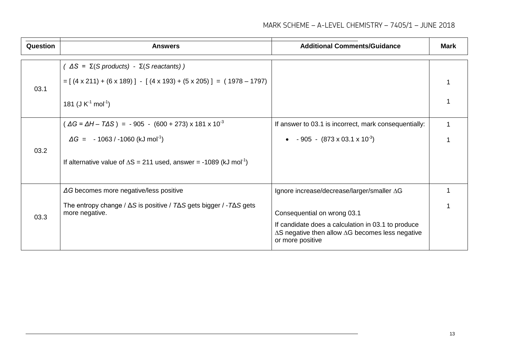#### MARK SCHEME – A-LEVEL CHEMISTRY – 7405/1 – JUNE 2018

| Question | <b>Answers</b>                                                                                                                                                                                                                  | <b>Additional Comments/Guidance</b>                                                                                                                                                                                    | <b>Mark</b> |
|----------|---------------------------------------------------------------------------------------------------------------------------------------------------------------------------------------------------------------------------------|------------------------------------------------------------------------------------------------------------------------------------------------------------------------------------------------------------------------|-------------|
| 03.1     | $( \Delta S = \Sigma (S \text{ products}) - \Sigma (S \text{ reactants}) )$<br>$=[(4 \times 211) + (6 \times 189)] - [(4 \times 193) + (5 \times 205)] = (1978 - 1797)$<br>181 (J $K^1$ mol <sup>-1</sup> )                     |                                                                                                                                                                                                                        |             |
| 03.2     | $\Delta G = \Delta H - T \Delta S$ = -905 - (600 + 273) x 181 x 10 <sup>-3</sup><br>$\Delta G = -1063 / -1060$ (kJ mol <sup>-1</sup> )<br>If alternative value of $\Delta S = 211$ used, answer = -1089 (kJ mol <sup>-1</sup> ) | If answer to 03.1 is incorrect, mark consequentially:<br>• $-905 - (873 \times 03.1 \times 10^{-3})$                                                                                                                   |             |
| 03.3     | $\Delta G$ becomes more negative/less positive<br>The entropy change / $\Delta S$ is positive / $T\Delta S$ gets bigger / - $T\Delta S$ gets<br>more negative.                                                                  | Ignore increase/decrease/larger/smaller AG<br>Consequential on wrong 03.1<br>If candidate does a calculation in 03.1 to produce<br>$\Delta S$ negative then allow $\Delta G$ becomes less negative<br>or more positive |             |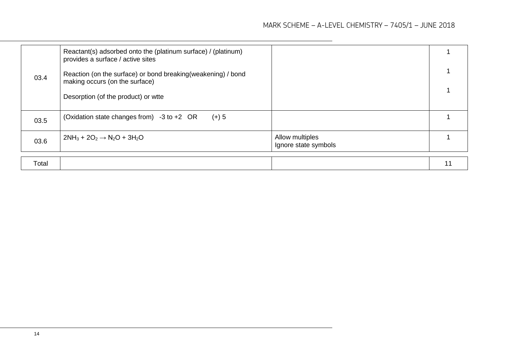|      | Reactant(s) adsorbed onto the (platinum surface) / (platinum)<br>provides a surface / active sites |                                         |  |
|------|----------------------------------------------------------------------------------------------------|-----------------------------------------|--|
| 03.4 | Reaction (on the surface) or bond breaking(weakening) / bond<br>making occurs (on the surface)     |                                         |  |
|      | Desorption (of the product) or wtte                                                                |                                         |  |
| 03.5 | (Oxidation state changes from) $-3$ to $+2$ OR<br>$(+)$ 5                                          |                                         |  |
| 03.6 | $2NH_3 + 2O_2 \rightarrow N_2O + 3H_2O$                                                            | Allow multiples<br>Ignore state symbols |  |

|--|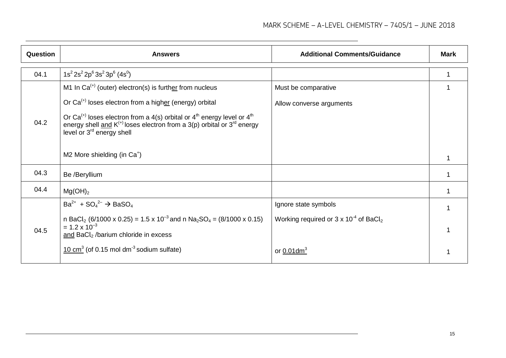| <b>Question</b> | <b>Answers</b>                                                                                                                                                                                                                                                                                                                                                                                | <b>Additional Comments/Guidance</b>                                                 | <b>Mark</b> |
|-----------------|-----------------------------------------------------------------------------------------------------------------------------------------------------------------------------------------------------------------------------------------------------------------------------------------------------------------------------------------------------------------------------------------------|-------------------------------------------------------------------------------------|-------------|
| 04.1            | $1s^{2}2s^{2}2p^{6}3s^{2}3p^{6}$ (4s <sup>0</sup> )                                                                                                                                                                                                                                                                                                                                           |                                                                                     |             |
| 04.2            | M1 In $Ca^{(+)}$ (outer) electron(s) is further from nucleus<br>Or $Ca^{(+)}$ loses electron from a higher (energy) orbital<br>Or Ca <sup>(+)</sup> loses electron from a 4(s) orbital or $4th$ energy level or $4th$<br>energy shell and $K^{(+)}$ loses electron from a 3(p) orbital or 3 <sup>rd</sup> energy<br>level or $3^{rd}$ energy shell<br>M2 More shielding (in Ca <sup>+</sup> ) | Must be comparative<br>Allow converse arguments                                     |             |
| 04.3            | Be /Beryllium                                                                                                                                                                                                                                                                                                                                                                                 |                                                                                     |             |
| 04.4            | Mg(OH) <sub>2</sub>                                                                                                                                                                                                                                                                                                                                                                           |                                                                                     |             |
| 04.5            | $Ba^{2+}$ + $SO_4^{2-}$ $\rightarrow$ BaSO <sub>4</sub><br>n BaCl <sub>2</sub> (6/1000 x 0.25) = 1.5 x 10 <sup>-3</sup> and n Na <sub>2</sub> SO <sub>4</sub> = (8/1000 x 0.15)<br>$= 1.2 \times 10^{-3}$<br>and $BaCl2$ /barium chloride in excess                                                                                                                                           | Ignore state symbols<br>Working required or $3 \times 10^{-4}$ of BaCl <sub>2</sub> |             |
|                 | $10 \text{ cm}^3$ (of 0.15 mol dm <sup>-3</sup> sodium sulfate)                                                                                                                                                                                                                                                                                                                               | or $0.01$ dm <sup>3</sup>                                                           |             |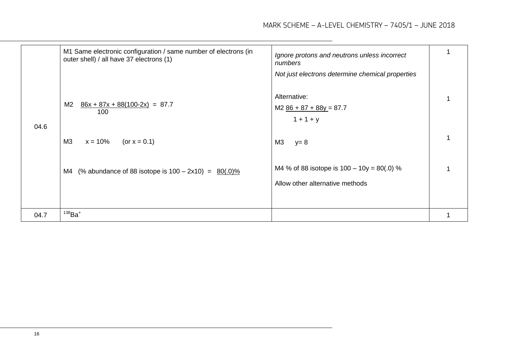|      | M1 Same electronic configuration / same number of electrons (in<br>outer shell) / all have 37 electrons (1) | Ignore protons and neutrons unless incorrect<br>numbers                         |  |
|------|-------------------------------------------------------------------------------------------------------------|---------------------------------------------------------------------------------|--|
|      |                                                                                                             | Not just electrons determine chemical properties                                |  |
|      | $\frac{86x + 87x + 88(100-2x)}{x} = 87.7$<br>M2                                                             | Alternative:                                                                    |  |
|      | 100                                                                                                         | $M2$ $86 + 87 + 88y = 87.7$<br>$1 + 1 + y$                                      |  |
| 04.6 | M <sub>3</sub><br>(or $x = 0.1$ )<br>$x = 10%$                                                              | M3<br>$y=8$                                                                     |  |
|      |                                                                                                             |                                                                                 |  |
|      | M4 (% abundance of 88 isotope is $100 - 2x10$ ) = $80(.0)\%$                                                | M4 % of 88 isotope is $100 - 10y = 80(.0)$ %<br>Allow other alternative methods |  |
|      |                                                                                                             |                                                                                 |  |
| 04.7 | $138$ Ba <sup>+</sup>                                                                                       |                                                                                 |  |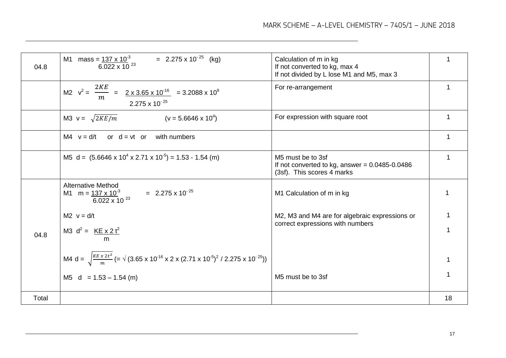| 04.8  | M1 mass = $\frac{137 \times 10^3}{6.022 \times 10^{23}}$ = 2.275 x 10 <sup>-25</sup> (kg)                                                                                | Calculation of m in kg<br>If not converted to kg, max 4<br>If not divided by L lose M1 and M5, max 3  |    |
|-------|--------------------------------------------------------------------------------------------------------------------------------------------------------------------------|-------------------------------------------------------------------------------------------------------|----|
|       | M2 $v^2 = \frac{2KE}{m} = \frac{2 \times 3.65 \times 10^{-16}}{2 \times 3.65 \times 10^{-16}} = 3.2088 \times 10^9$<br>$2.275 \times 10^{-25}$                           | For re-arrangement                                                                                    | 1  |
|       | M3 $v = \sqrt{2KE/m}$<br>$(v = 5.6646 \times 10^4)$                                                                                                                      | For expression with square root                                                                       |    |
|       | or $d = vt$ or with numbers<br>M4 $v = d/t$                                                                                                                              |                                                                                                       |    |
|       | M5 d = $(5.6646 \times 10^{4} \times 2.71 \times 10^{-5}) = 1.53 - 1.54$ (m)                                                                                             | M5 must be to 3sf<br>If not converted to kg, answer = $0.0485 - 0.0486$<br>(3sf). This scores 4 marks |    |
|       | <b>Alternative Method</b><br>$= 2.275 \times 10^{-25}$<br>M1 m = $137 \times 10^{-3}$<br>$6.022 \times 10^{-23}$                                                         | M1 Calculation of m in kg                                                                             |    |
| 04.8  | $M2 \text{ } v = d/t$<br>M3 $d^2 = KE \times 2t^2$<br>m                                                                                                                  | M2, M3 and M4 are for algebraic expressions or<br>correct expressions with numbers                    |    |
|       | M4 d = $\sqrt{\frac{KE \times 2t^2}{m}}$ (= $\sqrt{(3.65 \times 10^{-16} \times 2 \times (2.71 \times 10^{-5})^2 / 2.275 \times 10^{-25})})$<br>M5 $d = 1.53 - 1.54$ (m) | M5 must be to 3sf                                                                                     |    |
| Total |                                                                                                                                                                          |                                                                                                       | 18 |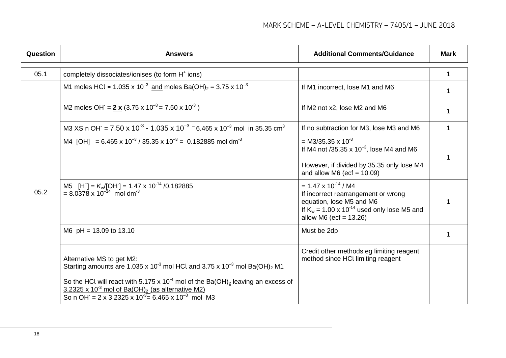| Question | <b>Answers</b>                                                                                                                                                                                                                                                                                                                                                                                              | <b>Additional Comments/Guidance</b>                                                                                                                                                    | <b>Mark</b> |
|----------|-------------------------------------------------------------------------------------------------------------------------------------------------------------------------------------------------------------------------------------------------------------------------------------------------------------------------------------------------------------------------------------------------------------|----------------------------------------------------------------------------------------------------------------------------------------------------------------------------------------|-------------|
| 05.1     | completely dissociates/ionises (to form H <sup>+</sup> ions)                                                                                                                                                                                                                                                                                                                                                |                                                                                                                                                                                        | 1           |
|          | M1 moles HCl = $1.035 \times 10^{-3}$ and moles Ba(OH) <sub>2</sub> = 3.75 x 10 <sup>-3</sup>                                                                                                                                                                                                                                                                                                               | If M1 incorrect, lose M1 and M6                                                                                                                                                        |             |
|          | M2 moles OH = $2 x (3.75 x 10^{-3} = 7.50 x 10^{-3})$                                                                                                                                                                                                                                                                                                                                                       | If M2 not x2, lose M2 and M6                                                                                                                                                           |             |
|          | M3 XS n OH = $7.50 \times 10^{-3}$ - 1.035 x 10 <sup>-3</sup> = 6.465 x 10 <sup>-3</sup> mol in 35.35 cm <sup>3</sup>                                                                                                                                                                                                                                                                                       | If no subtraction for M3, lose M3 and M6                                                                                                                                               | $\mathbf 1$ |
| 05.2     | M4 [OH] = 6.465 x 10 <sup>-3</sup> / 35.35 x 10 <sup>-3</sup> = 0.182885 mol dm <sup>-3</sup>                                                                                                                                                                                                                                                                                                               | = M3/35.35 x $10^{-3}$<br>If M4 not /35.35 $\times$ 10 <sup>-3</sup> , lose M4 and M6<br>However, if divided by 35.35 only lose M4<br>and allow M6 (ecf = $10.09$ )                    | 1           |
|          | M5 [H <sup>+</sup> ] = $K_w$ [OH <sup>-</sup> ] = 1.47 x 10 <sup>-14</sup> /0.182885<br>= 8.0378 x 10 <sup>-14</sup> mol dm <sup>-3</sup>                                                                                                                                                                                                                                                                   | $= 1.47 \times 10^{-14} / M4$<br>If incorrect rearrangement or wrong<br>equation, lose M5 and M6<br>If $K_w = 1.00 \times 10^{-14}$ used only lose M5 and<br>allow M6 (ecf = $13.26$ ) |             |
|          | M6 $pH = 13.09$ to 13.10                                                                                                                                                                                                                                                                                                                                                                                    | Must be 2dp                                                                                                                                                                            |             |
|          | Alternative MS to get M2:<br>Starting amounts are 1.035 x 10 <sup>-3</sup> mol HCl and 3.75 x 10 <sup>-3</sup> mol Ba(OH) <sub>2</sub> M1<br>So the HCl will react with 5.175 x 10 <sup>-4</sup> mol of the Ba(OH) <sub>2</sub> leaving an excess of<br>$3.2325 \times 10^{-3}$ mol of Ba(OH) <sub>2</sub> (as alternative M2)<br>So n OH = 2 x 3.2325 x 10 <sup>-3</sup> = 6.465 x 10 <sup>-3</sup> mol M3 | Credit other methods eg limiting reagent<br>method since HCI limiting reagent                                                                                                          |             |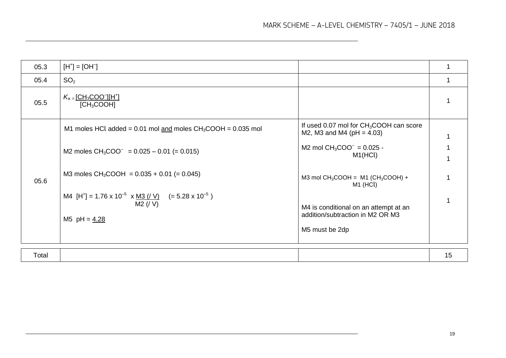| 05.3  | $[H^+] = [OH^-]$                                                                                                          |                                                                                             |    |
|-------|---------------------------------------------------------------------------------------------------------------------------|---------------------------------------------------------------------------------------------|----|
| 05.4  | SO <sub>2</sub>                                                                                                           |                                                                                             |    |
| 05.5  | $K_a = [CH_3COO^-][H^+]$<br>[CH <sub>3</sub> COOH]                                                                        |                                                                                             |    |
| 05.6  | M1 moles HCl added = $0.01$ mol and moles CH <sub>3</sub> COOH = $0.035$ mol                                              | If used 0.07 mol for $CH3COOH$ can score<br>M2, M3 and M4 ( $pH = 4.03$ )                   |    |
|       | M2 moles $CH_3COO^-$ = 0.025 - 0.01 (= 0.015)                                                                             | M2 mol $CH_3COO^- = 0.025 -$<br>M1(HCl)                                                     |    |
|       | M3 moles $CH_3COOH = 0.035 + 0.01 (= 0.045)$                                                                              | M3 mol $CH_3COOH = M1$ (CH <sub>3</sub> COOH) +<br>M <sub>1</sub> (HCl)                     |    |
|       | M4 [H <sup>+</sup> ] = 1.76 x 10 <sup>-5</sup> x <u>M3 (/ V)</u> (= 5.28 x 10 <sup>-5</sup> )<br>M2 (V)<br>M5 $pH = 4.28$ | M4 is conditional on an attempt at an<br>addition/subtraction in M2 OR M3<br>M5 must be 2dp |    |
| Total |                                                                                                                           |                                                                                             | 15 |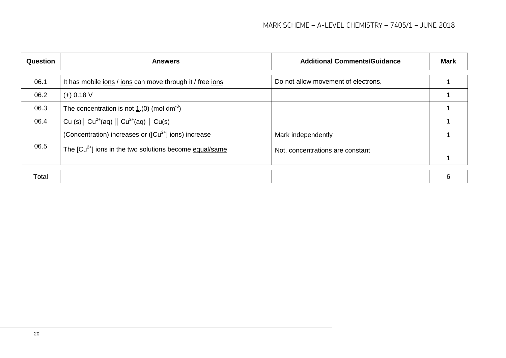| Question | <b>Answers</b>                                              | <b>Additional Comments/Guidance</b> | <b>Mark</b> |
|----------|-------------------------------------------------------------|-------------------------------------|-------------|
| 06.1     | It has mobile jons / jons can move through it / free jons   | Do not allow movement of electrons. |             |
| 06.2     | $(+)$ 0.18 V                                                |                                     |             |
| 06.3     | The concentration is not 1.(0) (mol dm <sup>-3</sup> )      |                                     |             |
| 06.4     | Cu (s) $  Cu^{2+}(aq)    Cu^{2+}(aq)   Cu(s)$               |                                     |             |
|          | (Concentration) increases or ( $[Cu2+]$ ions) increase      | Mark independently                  |             |
| 06.5     | The $[Cu^{2+}]$ ions in the two solutions become equal/same | Not, concentrations are constant    |             |
|          |                                                             |                                     |             |
| Total    |                                                             |                                     | 6           |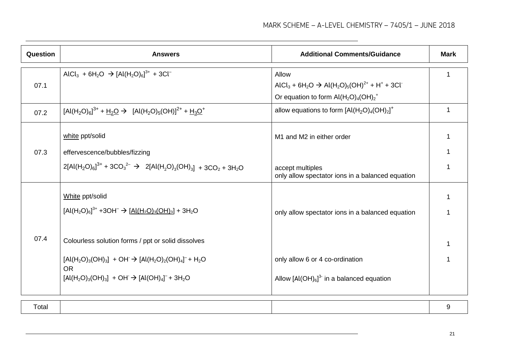| Question | <b>Answers</b>                                                                                                                                                                                                                                                                                                                                    | <b>Additional Comments/Guidance</b>                                                                                                                                                               | <b>Mark</b> |
|----------|---------------------------------------------------------------------------------------------------------------------------------------------------------------------------------------------------------------------------------------------------------------------------------------------------------------------------------------------------|---------------------------------------------------------------------------------------------------------------------------------------------------------------------------------------------------|-------------|
| 07.1     | AlCl <sub>3</sub> + 6H <sub>2</sub> O $\rightarrow$ [Al(H <sub>2</sub> O) <sub>6</sub> ] <sup>3+</sup> + 3Cl <sup>-</sup>                                                                                                                                                                                                                         | Allow<br>AlCl <sub>3</sub> + 6H <sub>2</sub> O $\rightarrow$ Al(H <sub>2</sub> O) <sub>5</sub> (OH) <sup>2+</sup> + H <sup>+</sup> + 3Cl <sup>-</sup><br>Or equation to form $Al(H_2O)_4(OH)_2^+$ |             |
| 07.2     | $[Al(H_2O)_6]^{3+} + H_2O \rightarrow [Al(H_2O)_5(OH)]^{2+} + H_3O^+$                                                                                                                                                                                                                                                                             | allow equations to form $[Al(H2O)4(OH)2]+$                                                                                                                                                        |             |
| 07.3     | white ppt/solid<br>effervescence/bubbles/fizzing<br>$2[AI(H_2O)_{6}]^{3+} + 3CO_3^{2-} \rightarrow 2[AI(H_2O)_{3}(OH)_{3}] + 3CO_2 + 3H_2O$                                                                                                                                                                                                       | M1 and M2 in either order<br>accept multiples<br>only allow spectator ions in a balanced equation                                                                                                 |             |
| 07.4     | White ppt/solid<br>$[Al(H_2O)_6]^{3+} + 3OH^- \rightarrow [Al(H_2O)_3(OH)_3] + 3H_2O$<br>Colourless solution forms / ppt or solid dissolves<br>$[Al(H_2O)_3(OH)_3]$ + OH $\rightarrow$ $[Al(H_2O)_2(OH)_4]$ <sup>-</sup> + H <sub>2</sub> O<br><b>OR</b><br>$[Al(H_2O)_3(OH)_3]$ + OH $\rightarrow$ $[Al(OH)_4]$ <sup>-</sup> + 3H <sub>2</sub> O | only allow spectator ions in a balanced equation<br>only allow 6 or 4 co-ordination<br>Allow $[A(OH)_{6}]^{3}$ in a balanced equation                                                             |             |

| <u>Lotal</u> |
|--------------|
|--------------|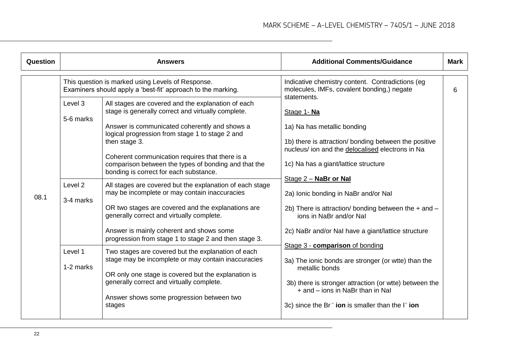| Question | <b>Answers</b>                                                                                                    |                                                                                                                                                                                                              | <b>Additional Comments/Guidance</b>                                                                                                                                           |   |
|----------|-------------------------------------------------------------------------------------------------------------------|--------------------------------------------------------------------------------------------------------------------------------------------------------------------------------------------------------------|-------------------------------------------------------------------------------------------------------------------------------------------------------------------------------|---|
| 08.1     | This question is marked using Levels of Response.<br>Examiners should apply a 'best-fit' approach to the marking. |                                                                                                                                                                                                              | Indicative chemistry content. Contradictions (eg<br>molecules, IMFs, covalent bonding,) negate<br>statements.                                                                 | 6 |
|          | Level 3<br>5-6 marks                                                                                              | All stages are covered and the explanation of each<br>stage is generally correct and virtually complete.<br>Answer is communicated coherently and shows a<br>logical progression from stage 1 to stage 2 and | Stage 1- Na<br>1a) Na has metallic bonding                                                                                                                                    |   |
|          |                                                                                                                   | then stage 3.<br>Coherent communication requires that there is a<br>comparison between the types of bonding and that the<br>bonding is correct for each substance.                                           | 1b) there is attraction/ bonding between the positive<br>nucleus/ ion and the delocalised electrons in Na<br>1c) Na has a giant/lattice structure                             |   |
|          | Level <sub>2</sub><br>3-4 marks                                                                                   | All stages are covered but the explanation of each stage<br>may be incomplete or may contain inaccuracies                                                                                                    | Stage 2 - NaBr or Nal<br>2a) Ionic bonding in NaBr and/or NaI                                                                                                                 |   |
|          |                                                                                                                   | OR two stages are covered and the explanations are<br>generally correct and virtually complete.                                                                                                              | 2b) There is attraction/ bonding between the $+$ and $-$<br>ions in NaBr and/or NaI                                                                                           |   |
|          |                                                                                                                   | Answer is mainly coherent and shows some<br>progression from stage 1 to stage 2 and then stage 3.                                                                                                            | 2c) NaBr and/or NaI have a giant/lattice structure<br>Stage 3 - comparison of bonding                                                                                         |   |
|          | Level 1<br>1-2 marks                                                                                              | Two stages are covered but the explanation of each<br>stage may be incomplete or may contain inaccuracies<br>OR only one stage is covered but the explanation is                                             | 3a) The ionic bonds are stronger (or wtte) than the<br>metallic bonds                                                                                                         |   |
|          |                                                                                                                   | generally correct and virtually complete.<br>Answer shows some progression between two<br>stages                                                                                                             | 3b) there is stronger attraction (or wtte) between the<br>+ and – ions in NaBr than in NaI<br>3c) since the Br <sup><math>-</math></sup> ion is smaller than the $\Gamma$ ion |   |
|          |                                                                                                                   |                                                                                                                                                                                                              |                                                                                                                                                                               |   |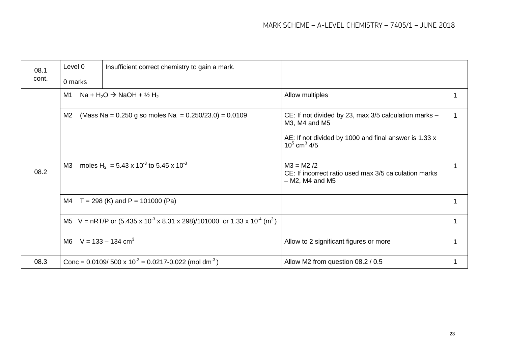| 08.1<br>cont. | Level 0<br>0 marks                                                 | Insufficient correct chemistry to gain a mark.                                                                    |                                                                                             |  |
|---------------|--------------------------------------------------------------------|-------------------------------------------------------------------------------------------------------------------|---------------------------------------------------------------------------------------------|--|
| 08.2          | M1<br>Na + H <sub>2</sub> O $\rightarrow$ NaOH + ½ H <sub>2</sub>  |                                                                                                                   | Allow multiples                                                                             |  |
|               | (Mass Na = $0.250$ g so moles Na = $0.250/23.0$ ) = $0.0109$<br>M2 |                                                                                                                   | CE: If not divided by 23, max 3/5 calculation marks -<br>M3, M4 and M5                      |  |
|               |                                                                    |                                                                                                                   | AE: If not divided by 1000 and final answer is 1.33 x<br>$10^5$ cm <sup>3</sup> 4/5         |  |
|               | M3                                                                 | moles H <sub>2</sub> = 5.43 x 10 <sup>-3</sup> to 5.45 x 10 <sup>-3</sup>                                         | $M3 = M2 /2$<br>CE: If incorrect ratio used max 3/5 calculation marks<br>$- M2$ , M4 and M5 |  |
|               |                                                                    | M4 $T = 298$ (K) and P = 101000 (Pa)                                                                              |                                                                                             |  |
|               |                                                                    | M5 V = nRT/P or $(5.435 \times 10^{-3} \times 8.31 \times 298)/101000$ or $1.33 \times 10^{-4}$ (m <sup>3</sup> ) |                                                                                             |  |
|               | M6 $V = 133 - 134$ cm <sup>3</sup>                                 |                                                                                                                   | Allow to 2 significant figures or more                                                      |  |
| 08.3          |                                                                    | Conc = $0.0109/500 \times 10^{-3} = 0.0217 - 0.022$ (mol dm <sup>-3</sup> )                                       | Allow M2 from question 08.2 / 0.5                                                           |  |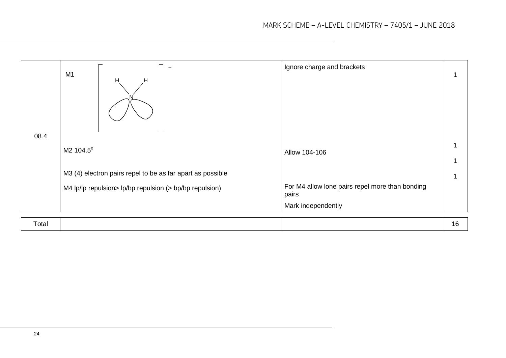| 08.4  | M1<br>$H_1$<br>н                                           | Ignore charge and brackets                               |    |
|-------|------------------------------------------------------------|----------------------------------------------------------|----|
|       | M2 104.5°                                                  | Allow 104-106                                            |    |
|       | M3 (4) electron pairs repel to be as far apart as possible |                                                          |    |
|       | M4 lp/lp repulsion> lp/bp repulsion (> bp/bp repulsion)    | For M4 allow lone pairs repel more than bonding<br>pairs |    |
|       |                                                            | Mark independently                                       |    |
| Total |                                                            |                                                          | 16 |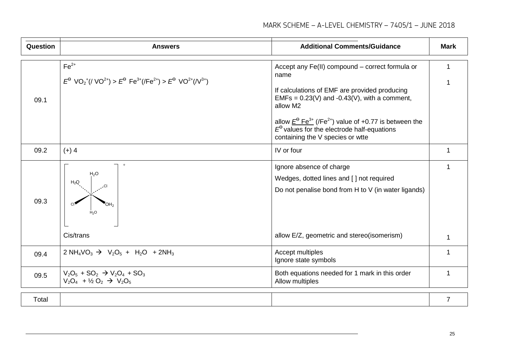| Question | <b>Answers</b>                                                                                                                                                                     | <b>Additional Comments/Guidance</b>                                                                                                                                                                                                                                                                                                                                         | <b>Mark</b>    |
|----------|------------------------------------------------------------------------------------------------------------------------------------------------------------------------------------|-----------------------------------------------------------------------------------------------------------------------------------------------------------------------------------------------------------------------------------------------------------------------------------------------------------------------------------------------------------------------------|----------------|
| 09.1     | $Fe2+$<br>$E^{\Theta}$ VO <sub>2</sub> <sup>+</sup> (/ VO <sup>2+</sup> ) > $E^{\Theta}$ Fe <sup>3+</sup> (/Fe <sup>2+</sup> ) > $E^{\Theta}$ VO <sup>2+</sup> (/V <sup>3+</sup> ) | Accept any Fe(II) compound – correct formula or<br>name<br>If calculations of EMF are provided producing<br>$EMFs = 0.23(V)$ and $-0.43(V)$ , with a comment,<br>allow M2<br>allow $\underline{F}^{\Theta}$ Fe <sup>3+</sup> (/Fe <sup>2+</sup> ) value of +0.77 is between the<br>$E^{\Theta}$ values for the electrode half-equations<br>containing the V species or wtte | 1              |
| 09.2     | $(+)$ 4                                                                                                                                                                            | IV or four                                                                                                                                                                                                                                                                                                                                                                  | 1              |
| 09.3     | H <sub>2</sub> O<br>$H_2Q$<br>Cis/trans                                                                                                                                            | Ignore absence of charge<br>Wedges, dotted lines and [] not required<br>Do not penalise bond from H to V (in water ligands)<br>allow E/Z, geometric and stereo(isomerism)                                                                                                                                                                                                   | 1              |
| 09.4     | $2 NH_4VO_3 \rightarrow V_2O_5 + H_2O + 2NH_3$                                                                                                                                     | Accept multiples<br>Ignore state symbols                                                                                                                                                                                                                                                                                                                                    | 1              |
| 09.5     | $V_2O_5$ + SO <sub>2</sub> $\rightarrow$ V <sub>2</sub> O <sub>4</sub> + SO <sub>3</sub><br>$V_2O_4$ + $V_2O_2$ $\rightarrow$ $V_2O_5$                                             | Both equations needed for 1 mark in this order<br>Allow multiples                                                                                                                                                                                                                                                                                                           | 1              |
| Total    |                                                                                                                                                                                    |                                                                                                                                                                                                                                                                                                                                                                             | $\overline{7}$ |